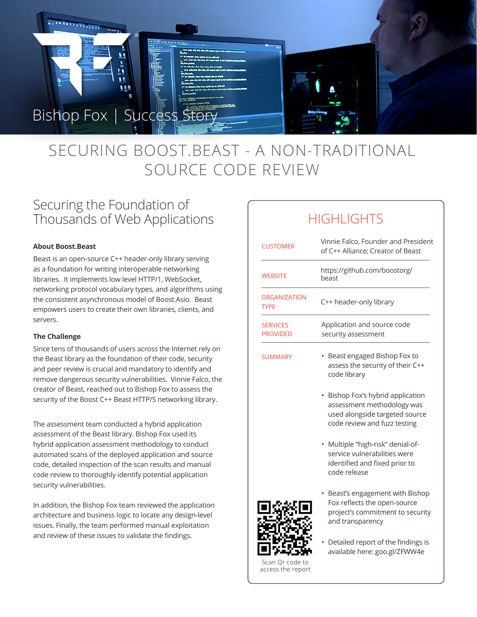

# SECURING BOOST.BEAST - A NON-TRADITIONAL SOURCE CODE REVIEW

## Securing the Foundation of Thousands of Web Applications

### **About Boost.Beast**

Beast is an open-source C++ header-only library serving as a foundation for writing interoperable networking libraries. It implements low level HTTP/1, WebSocket, networking protocol vocabulary types, and algorithms using the consistent asynchronous model of Boost.Asio. Beast empowers users to create their own libraries, clients, and servers.

### **The Challenge**

Since tens of thousands of users across the Internet rely on the Beast library as the foundation of their code, security and peer review is crucial and mandatory to identify and remove dangerous security vulnerabilities. Vinnie Falco, the creator of Beast, reached out to Bishop Fox to assess the security of the Boost C++ Beast HTTP/S networking library.

The assessment team conducted a hybrid application assessment of the Beast library. Bishop Fox used its hybrid application assessment methodology to conduct automated scans of the deployed application and source code, detailed inspection of the scan results and manual code review to thoroughly identify potential application security vulnerabilities.

In addition, the Bishop Fox team reviewed the application architecture and business logic to locate any design-level issues. Finally, the team performed manual exploitation and review of these issues to validate the findings.

# HIGHI IGHTS

| <b>CUSTOMER</b>                    | Vinnie Falco, Founder and President<br>of C++ Alliance; Creator of Beast                                                        |
|------------------------------------|---------------------------------------------------------------------------------------------------------------------------------|
| <b>WEBSITE</b>                     | https://github.com/boostorg/<br>heast                                                                                           |
| <b>ORGANIZATION</b><br><b>TYPE</b> | C++ header-only library                                                                                                         |
| <b>SERVICES</b><br><b>PROVIDED</b> | Application and source code<br>security assessment                                                                              |
| <b>SUMMARY</b>                     | Beast engaged Bishop Fox to<br>assess the security of their C++<br>code library                                                 |
|                                    | Bishop Fox's hybrid application<br>assessment methodology was<br>used alongside targeted source<br>code review and fuzz testing |
|                                    | Multiple "high-risk" denial-of-<br>service vulnerabilities were<br>identified and fixed prior to<br>code release                |
|                                    | Beast's engagement with Bishop<br>Fox reflects the open-source<br>project's commitment to security<br>and transparency          |
|                                    | and the common contract of the common state of the common state of the common state of the common state of the                  |

• Detailed report of the findings is available here: goo.gl/ZFWW4e

Scan Qr code to access the report